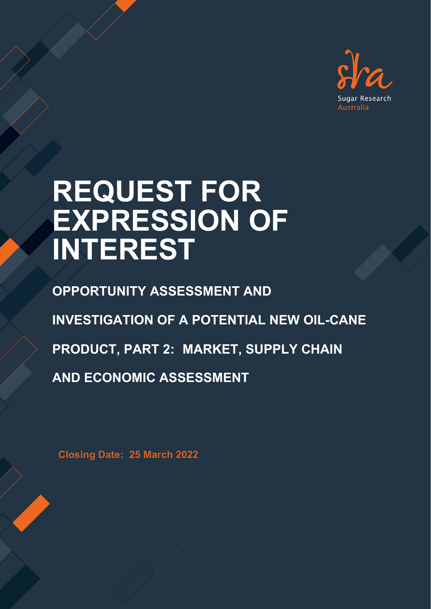

# **REQUEST FOR EXPRESSION OF INTEREST**

**OPPORTUNITY ASSESSMENT AND INVESTIGATION OF A POTENTIAL NEW OIL-CANE PRODUCT, PART 2: MARKET, SUPPLY CHAIN AND ECONOMIC ASSESSMENT**

**Closing Date: 25 March 2022**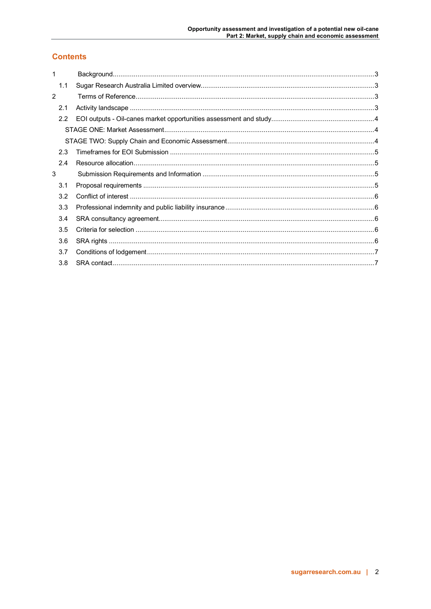# **Contents**

| 1              |  |  |
|----------------|--|--|
| 1.1            |  |  |
| $\overline{2}$ |  |  |
| 2.1            |  |  |
| 2.2            |  |  |
|                |  |  |
|                |  |  |
| 2.3            |  |  |
| 2.4            |  |  |
| 3              |  |  |
| 3.1            |  |  |
| 3.2            |  |  |
| 3.3            |  |  |
| 3.4            |  |  |
| 3.5            |  |  |
| 3.6            |  |  |
| 3.7            |  |  |
| 3.8            |  |  |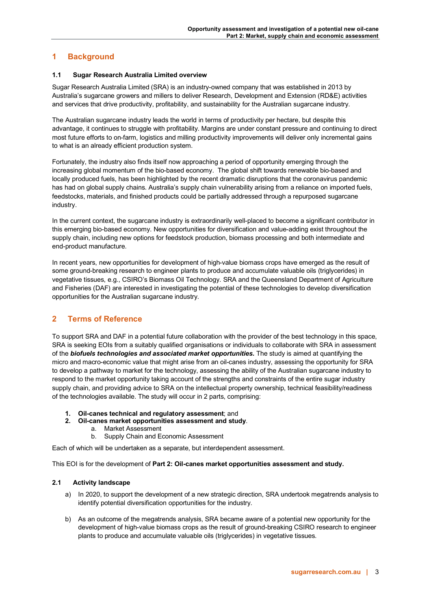## <span id="page-2-0"></span>**1 Background**

## <span id="page-2-1"></span>**1.1 Sugar Research Australia Limited overview**

Sugar Research Australia Limited (SRA) is an industry-owned company that was established in 2013 by Australia's sugarcane growers and millers to deliver Research, Development and Extension (RD&E) activities and services that drive productivity, profitability, and sustainability for the Australian sugarcane industry.

The Australian sugarcane industry leads the world in terms of productivity per hectare, but despite this advantage, it continues to struggle with profitability. Margins are under constant pressure and continuing to direct most future efforts to on-farm, logistics and milling productivity improvements will deliver only incremental gains to what is an already efficient production system.

Fortunately, the industry also finds itself now approaching a period of opportunity emerging through the increasing global momentum of the bio-based economy. The global shift towards renewable bio-based and locally produced fuels, has been highlighted by the recent dramatic disruptions that the coronavirus pandemic has had on global supply chains. Australia's supply chain vulnerability arising from a reliance on imported fuels, feedstocks, materials, and finished products could be partially addressed through a repurposed sugarcane industry.

In the current context, the sugarcane industry is extraordinarily well-placed to become a significant contributor in this emerging bio-based economy. New opportunities for diversification and value-adding exist throughout the supply chain, including new options for feedstock production, biomass processing and both intermediate and end-product manufacture.

In recent years, new opportunities for development of high-value biomass crops have emerged as the result of some ground-breaking research to engineer plants to produce and accumulate valuable oils (triglycerides) in vegetative tissues, e.g., CSIRO's Biomass Oil Technology. SRA and the Queensland Department of Agriculture and Fisheries (DAF) are interested in investigating the potential of these technologies to develop diversification opportunities for the Australian sugarcane industry.

## <span id="page-2-2"></span>**2 Terms of Reference**

To support SRA and DAF in a potential future collaboration with the provider of the best technology in this space, SRA is seeking EOIs from a suitably qualified organisations or individuals to collaborate with SRA in assessment of the *biofuels technologies and associated market opportunities.* The study is aimed at quantifying the micro and macro-economic value that might arise from an oil-canes industry, assessing the opportunity for SRA to develop a pathway to market for the technology, assessing the ability of the Australian sugarcane industry to respond to the market opportunity taking account of the strengths and constraints of the entire sugar industry supply chain, and providing advice to SRA on the intellectual property ownership, technical feasibility/readiness of the technologies available. The study will occur in 2 parts, comprising:

- **1. Oil-canes technical and regulatory assessment**; and
- **2. Oil-canes market opportunities assessment and study**.
	- a. Market Assessment
	- b. Supply Chain and Economic Assessment

Each of which will be undertaken as a separate, but interdependent assessment.

This EOI is for the development of **Part 2: Oil-canes market opportunities assessment and study.** 

## <span id="page-2-3"></span>**2.1 Activity landscape**

- a) In 2020, to support the development of a new strategic direction, SRA undertook megatrends analysis to identify potential diversification opportunities for the industry.
- b) As an outcome of the megatrends analysis, SRA became aware of a potential new opportunity for the development of high-value biomass crops as the result of ground-breaking CSIRO research to engineer plants to produce and accumulate valuable oils (triglycerides) in vegetative tissues.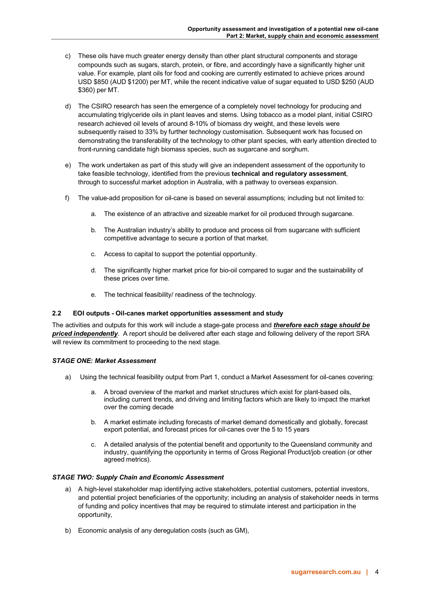- c) These oils have much greater energy density than other plant structural components and storage compounds such as sugars, starch, protein, or fibre, and accordingly have a significantly higher unit value. For example, plant oils for food and cooking are currently estimated to achieve prices around USD \$850 (AUD \$1200) per MT, while the recent indicative value of sugar equated to USD \$250 (AUD \$360) per MT.
- d) The CSIRO research has seen the emergence of a completely novel technology for producing and accumulating triglyceride oils in plant leaves and stems. Using tobacco as a model plant, initial CSIRO research achieved oil levels of around 8-10% of biomass dry weight, and these levels were subsequently raised to 33% by further technology customisation. Subsequent work has focused on demonstrating the transferability of the technology to other plant species, with early attention directed to front-running candidate high biomass species, such as sugarcane and sorghum.
- e) The work undertaken as part of this study will give an independent assessment of the opportunity to take feasible technology, identified from the previous **technical and regulatory assessment**, through to successful market adoption in Australia, with a pathway to overseas expansion.
- f) The value-add proposition for oil-cane is based on several assumptions; including but not limited to:
	- a. The existence of an attractive and sizeable market for oil produced through sugarcane.
	- b. The Australian industry's ability to produce and process oil from sugarcane with sufficient competitive advantage to secure a portion of that market.
	- c. Access to capital to support the potential opportunity.
	- d. The significantly higher market price for bio-oil compared to sugar and the sustainability of these prices over time.
	- e. The technical feasibility/ readiness of the technology.

#### <span id="page-3-0"></span>**2.2 EOI outputs - Oil-canes market opportunities assessment and study**

The activities and outputs for this work will include a stage-gate process and *therefore each stage should be priced independently*. A report should be delivered after each stage and following delivery of the report SRA will review its commitment to proceeding to the next stage.

#### <span id="page-3-1"></span>*STAGE ONE: Market Assessment*

- a) Using the technical feasibility output from Part 1, conduct a Market Assessment for oil-canes covering:
	- a. A broad overview of the market and market structures which exist for plant-based oils, including current trends, and driving and limiting factors which are likely to impact the market over the coming decade
	- b. A market estimate including forecasts of market demand domestically and globally, forecast export potential, and forecast prices for oil-canes over the 5 to 15 years
	- c. A detailed analysis of the potential benefit and opportunity to the Queensland community and industry, quantifying the opportunity in terms of Gross Regional Product/job creation (or other agreed metrics).

## <span id="page-3-2"></span>*STAGE TWO: Supply Chain and Economic Assessment*

- a) A high-level stakeholder map identifying active stakeholders, potential customers, potential investors, and potential project beneficiaries of the opportunity; including an analysis of stakeholder needs in terms of funding and policy incentives that may be required to stimulate interest and participation in the opportunity,
- b) Economic analysis of any deregulation costs (such as GM),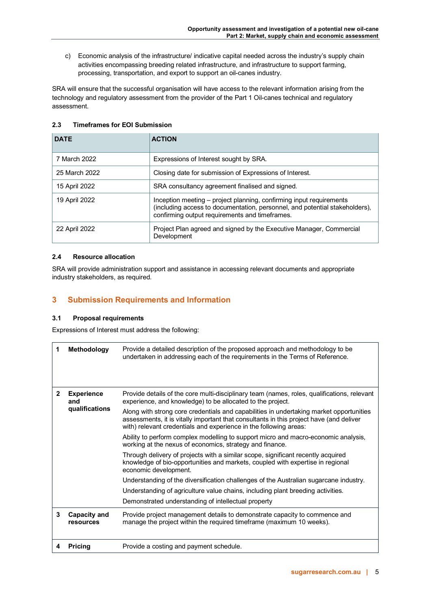c) Economic analysis of the infrastructure/ indicative capital needed across the industry's supply chain activities encompassing breeding related infrastructure, and infrastructure to support farming, processing, transportation, and export to support an oil-canes industry.

SRA will ensure that the successful organisation will have access to the relevant information arising from the technology and regulatory assessment from the provider of the Part 1 Oil-canes technical and regulatory assessment.

<span id="page-4-0"></span>

| <b>Timeframes for EOI Submission</b><br>2.3 |
|---------------------------------------------|
|                                             |

| <b>DATE</b>   | <b>ACTION</b>                                                                                                                                                                                        |
|---------------|------------------------------------------------------------------------------------------------------------------------------------------------------------------------------------------------------|
| 7 March 2022  | Expressions of Interest sought by SRA.                                                                                                                                                               |
| 25 March 2022 | Closing date for submission of Expressions of Interest.                                                                                                                                              |
| 15 April 2022 | SRA consultancy agreement finalised and signed.                                                                                                                                                      |
| 19 April 2022 | Inception meeting – project planning, confirming input requirements<br>(including access to documentation, personnel, and potential stakeholders),<br>confirming output requirements and timeframes. |
| 22 April 2022 | Project Plan agreed and signed by the Executive Manager, Commercial<br>Development                                                                                                                   |

## <span id="page-4-1"></span>**2.4 Resource allocation**

SRA will provide administration support and assistance in accessing relevant documents and appropriate industry stakeholders, as required.

## <span id="page-4-2"></span>**3 Submission Requirements and Information**

## <span id="page-4-3"></span>**3.1 Proposal requirements**

Expressions of Interest must address the following:

| 1            | Methodology                                | Provide a detailed description of the proposed approach and methodology to be<br>undertaken in addressing each of the requirements in the Terms of Reference.                                                                                                                                                                                                                                                                                                                                                                                                                                                                                                                                                                                                                                                                                                                                                                                                                                            |
|--------------|--------------------------------------------|----------------------------------------------------------------------------------------------------------------------------------------------------------------------------------------------------------------------------------------------------------------------------------------------------------------------------------------------------------------------------------------------------------------------------------------------------------------------------------------------------------------------------------------------------------------------------------------------------------------------------------------------------------------------------------------------------------------------------------------------------------------------------------------------------------------------------------------------------------------------------------------------------------------------------------------------------------------------------------------------------------|
| $\mathbf{2}$ | <b>Experience</b><br>and<br>qualifications | Provide details of the core multi-disciplinary team (names, roles, qualifications, relevant<br>experience, and knowledge) to be allocated to the project.<br>Along with strong core credentials and capabilities in undertaking market opportunities<br>assessments, it is vitally important that consultants in this project have (and deliver<br>with) relevant credentials and experience in the following areas:<br>Ability to perform complex modelling to support micro and macro-economic analysis,<br>working at the nexus of economics, strategy and finance.<br>Through delivery of projects with a similar scope, significant recently acquired<br>knowledge of bio-opportunities and markets, coupled with expertise in regional<br>economic development.<br>Understanding of the diversification challenges of the Australian sugarcane industry.<br>Understanding of agriculture value chains, including plant breeding activities.<br>Demonstrated understanding of intellectual property |
| 3            | Capacity and<br>resources                  | Provide project management details to demonstrate capacity to commence and<br>manage the project within the required timeframe (maximum 10 weeks).                                                                                                                                                                                                                                                                                                                                                                                                                                                                                                                                                                                                                                                                                                                                                                                                                                                       |
| 4            | <b>Pricing</b>                             | Provide a costing and payment schedule.                                                                                                                                                                                                                                                                                                                                                                                                                                                                                                                                                                                                                                                                                                                                                                                                                                                                                                                                                                  |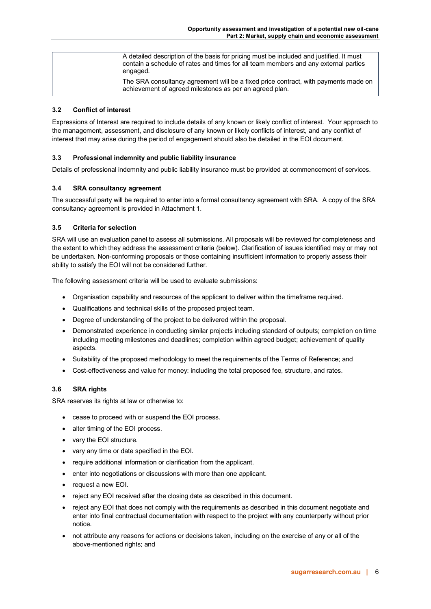| A detailed description of the basis for pricing must be included and justified. It must<br>contain a schedule of rates and times for all team members and any external parties<br>engaged. |
|--------------------------------------------------------------------------------------------------------------------------------------------------------------------------------------------|
| The SRA consultancy agreement will be a fixed price contract, with payments made on<br>achievement of agreed milestones as per an agreed plan.                                             |

## <span id="page-5-0"></span>**3.2 Conflict of interest**

Expressions of Interest are required to include details of any known or likely conflict of interest. Your approach to the management, assessment, and disclosure of any known or likely conflicts of interest, and any conflict of interest that may arise during the period of engagement should also be detailed in the EOI document.

## <span id="page-5-1"></span>**3.3 Professional indemnity and public liability insurance**

Details of professional indemnity and public liability insurance must be provided at commencement of services.

## <span id="page-5-2"></span>**3.4 SRA consultancy agreement**

The successful party will be required to enter into a formal consultancy agreement with SRA. A copy of the SRA consultancy agreement is provided in Attachment 1.

## <span id="page-5-3"></span>**3.5 Criteria for selection**

SRA will use an evaluation panel to assess all submissions. All proposals will be reviewed for completeness and the extent to which they address the assessment criteria (below). Clarification of issues identified may or may not be undertaken. Non-conforming proposals or those containing insufficient information to properly assess their ability to satisfy the EOI will not be considered further.

The following assessment criteria will be used to evaluate submissions:

- Organisation capability and resources of the applicant to deliver within the timeframe required.
- Qualifications and technical skills of the proposed project team.
- Degree of understanding of the project to be delivered within the proposal.
- Demonstrated experience in conducting similar projects including standard of outputs; completion on time including meeting milestones and deadlines; completion within agreed budget; achievement of quality aspects.
- Suitability of the proposed methodology to meet the requirements of the Terms of Reference; and
- Cost-effectiveness and value for money: including the total proposed fee, structure, and rates.

## <span id="page-5-4"></span>**3.6 SRA rights**

SRA reserves its rights at law or otherwise to:

- cease to proceed with or suspend the EOI process.
- alter timing of the EOI process.
- vary the EOI structure.
- vary any time or date specified in the EOI.
- require additional information or clarification from the applicant.
- enter into negotiations or discussions with more than one applicant.
- request a new EOI.
- reject any EOI received after the closing date as described in this document.
- reject any EOI that does not comply with the requirements as described in this document negotiate and enter into final contractual documentation with respect to the project with any counterparty without prior notice.
- not attribute any reasons for actions or decisions taken, including on the exercise of any or all of the above-mentioned rights; and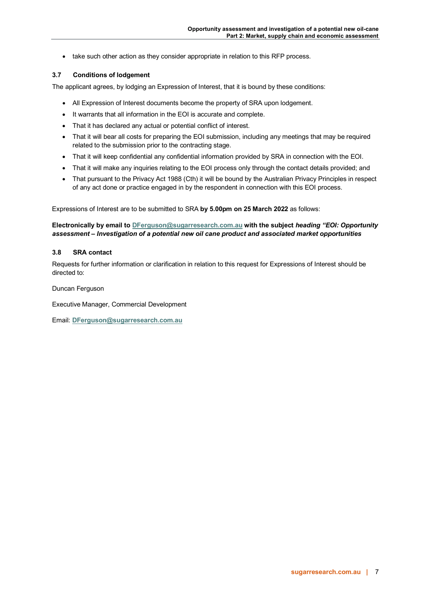• take such other action as they consider appropriate in relation to this RFP process.

## <span id="page-6-0"></span>**3.7 Conditions of lodgement**

The applicant agrees, by lodging an Expression of Interest, that it is bound by these conditions:

- All Expression of Interest documents become the property of SRA upon lodgement.
- It warrants that all information in the EOI is accurate and complete.
- That it has declared any actual or potential conflict of interest.
- That it will bear all costs for preparing the EOI submission, including any meetings that may be required related to the submission prior to the contracting stage.
- That it will keep confidential any confidential information provided by SRA in connection with the EOI.
- That it will make any inquiries relating to the EOI process only through the contact details provided; and
- That pursuant to the Privacy Act 1988 (Cth) it will be bound by the Australian Privacy Principles in respect of any act done or practice engaged in by the respondent in connection with this EOI process.

Expressions of Interest are to be submitted to SRA **by 5.00pm on 25 March 2022** as follows:

## **Electronically by email t[o DFerguson@sugarresearch.com.au](mailto:DFerguson@sugarresearch.com.au) with the subject** *heading "EOI: Opportunity assessment – Investigation of a potential new oil cane product and associated market opportunities*

#### <span id="page-6-1"></span>**3.8 SRA contact**

Requests for further information or clarification in relation to this request for Expressions of Interest should be directed to:

Duncan Ferguson

Executive Manager, Commercial Development

Email: **[DFerguson@sugarresearch.com.au](mailto:hkhanna@sugarresearch.com.au)**